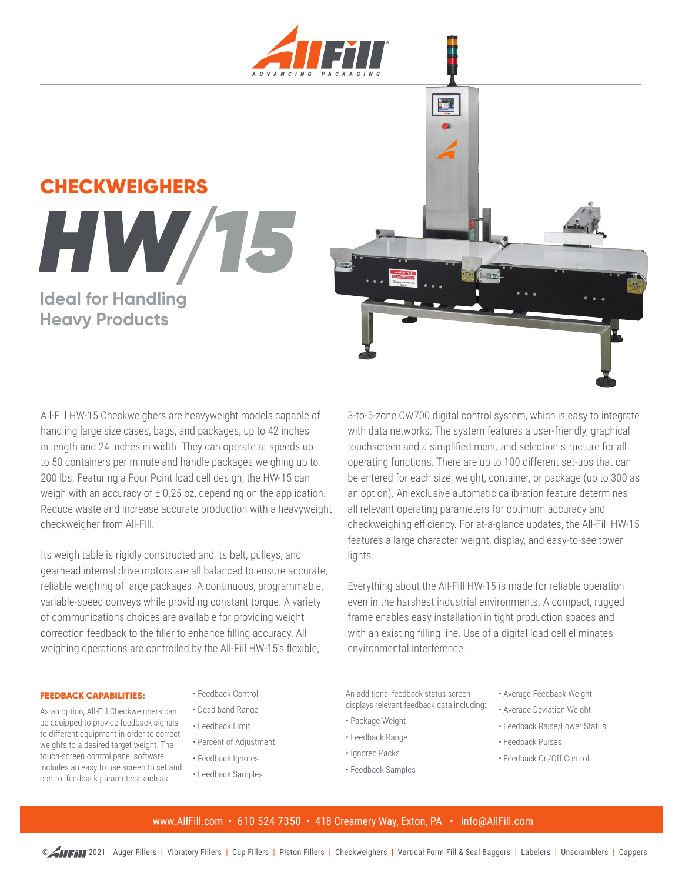

# **CHECKWEIGHERS HW/ Ideal for Handling**

# **Heavy Products**



All-Fill HW-15 Checkweighers are heavyweight models capable of handling large size cases, bags, and packages, up to 42 inches in length and 24 inches in width. They can operate at speeds up to 50 containers per minute and handle packages weighing up to 200 lbs. Featuring a Four Point load cell design, the HW-15 can weigh with an accuracy of  $\pm$  0.25 oz, depending on the application. Reduce waste and increase accurate production with a heavyweight checkweigher from All-Fill.

Its weigh table is rigidly constructed and its belt, pulleys, and gearhead internal drive motors are all balanced to ensure accurate, reliable weighing of large packages. A continuous, programmable, variable-speed conveys while providing constant torque. A variety of communications choices are available for providing weight correction feedback to the filler to enhance filling accuracy. All weighing operations are controlled by the All-Fill HW-15's flexible,

3-to-5-zone CW700 digital control system, which is easy to integrate with data networks. The system features a user-friendly, graphical touchscreen and a simplified menu and selection structure for all operating functions. There are up to 100 different set-ups that can be entered for each size, weight, container, or package (up to 300 as an option). An exclusive automatic calibration feature determines all relevant operating parameters for optimum accuracy and checkweighing efficiency. For at-a-glance updates, the All-Fill HW-15 features a large character weight, display, and easy-to-see tower lights.

Everything about the All-Fill HW-15 is made for reliable operation even in the harshest industrial environments. A compact, rugged frame enables easy installation in tight production spaces and with an existing filling line. Use of a digital load cell eliminates environmental interference.

#### FEEDBACK CAPABILITIES:

As an option, All-Fill Checkweighers can be equipped to provide feedback signals to different equipment in order to correct weights to a desired target weight. The touch-screen control panel software includes an easy to use screen to set and control feedback parameters such as:

# • Feedback Control

- Dead band Range
- Feedback Limit
- Percent of Adjustment
- Feedback Ignores
- Feedback Samples

An additional feedback status screen displays relevant feedback data including:

- Package Weight
- Feedback Range
- Ignored Packs
- Feedback Samples
- Average Feedback Weight
- Average Deviation Weight
- Feedback Raise/Lower Status
- Feedback Pulses
- Feedback On/Off Control

### www.AllFill.com • 610 524 7350 • 418 Creamery Way, Exton, PA • info@AllFill.com